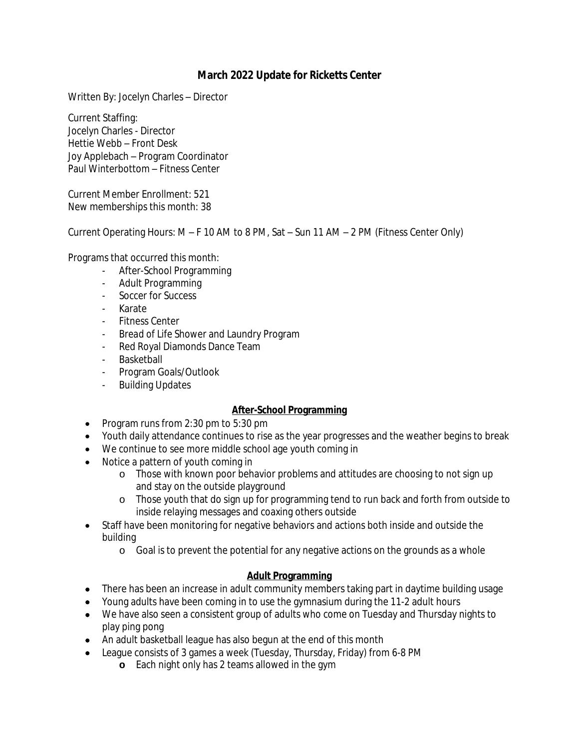# **March 2022 Update for Ricketts Center**

Written By: Jocelyn Charles – Director

Current Staffing: Jocelyn Charles - Director Hettie Webb – Front Desk Joy Applebach – Program Coordinator Paul Winterbottom – Fitness Center

Current Member Enrollment: 521 New memberships this month: 38

Current Operating Hours: M – F 10 AM to 8 PM, Sat – Sun 11 AM – 2 PM (Fitness Center Only)

Programs that occurred this month:

- After-School Programming
- Adult Programming
- Soccer for Success
- Karate
- Fitness Center
- *Bread of Life* Shower and Laundry Program
- Red Royal Diamonds Dance Team
- Basketball
- Program Goals/Outlook
- Building Updates

#### **After-School Programming**

- Program runs from  $2:30$  pm to  $5:30$  pm
- Youth daily attendance continues to rise as the year progresses and the weather begins to break
- We continue to see more middle school age youth coming in
- Notice a pattern of youth coming in
	- o Those with known poor behavior problems and attitudes are choosing to not sign up and stay on the outside playground
	- o Those youth that do sign up for programming tend to run back and forth from outside to inside relaying messages and coaxing others outside
- Staff have been monitoring for negative behaviors and actions both inside and outside the building
	- o Goal is to prevent the potential for any negative actions on the grounds as a whole

#### **Adult Programming**

- There has been an increase in adult community members taking part in daytime building usage
- Young adults have been coming in to use the gymnasium during the 11-2 adult hours
- We have also seen a consistent group of adults who come on Tuesday and Thursday nights to play ping pong
- An adult basketball league has also begun at the end of this month
- League consists of 3 games a week (Tuesday, Thursday, Friday) from 6-8 PM
	- **o** Each night only has 2 teams allowed in the gym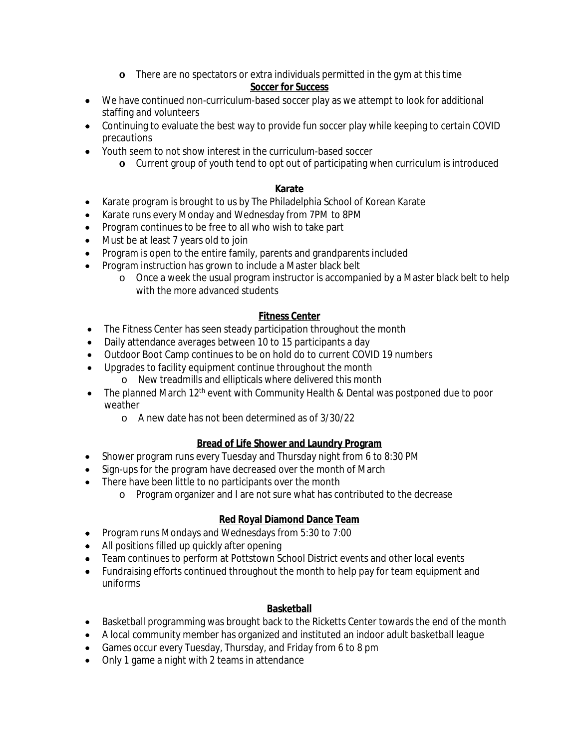**o** There are no spectators or extra individuals permitted in the gym at this time

#### **Soccer for Success**

- We have continued non-curriculum-based soccer play as we attempt to look for additional staffing and volunteers
- Continuing to evaluate the best way to provide fun soccer play while keeping to certain COVID precautions
- Youth seem to not show interest in the curriculum-based soccer
	- **o** Current group of youth tend to opt out of participating when curriculum is introduced

### **Karate**

- Karate program is brought to us by The Philadelphia School of Korean Karate
- Karate runs every Monday and Wednesday from 7PM to 8PM
- Program continues to be free to all who wish to take part
- Must be at least 7 years old to join
- Program is open to the entire family, parents and grandparents included
- Program instruction has grown to include a Master black belt
	- o Once a week the usual program instructor is accompanied by a Master black belt to help with the more advanced students

### **Fitness Center**

- The Fitness Center has seen steady participation throughout the month
- Daily attendance averages between 10 to 15 participants a day
- Outdoor Boot Camp continues to be on hold do to current COVID 19 numbers
- Upgrades to facility equipment continue throughout the month
	- o New treadmills and ellipticals where delivered this month
- The planned March  $12<sup>th</sup>$  event with Community Health & Dental was postponed due to poor weather
	- o A new date has not been determined as of 3/30/22

# **Bread of Life Shower and Laundry Program**

- Shower program runs every Tuesday and Thursday night from 6 to 8:30 PM
- Sign-ups for the program have decreased over the month of March
- There have been little to no participants over the month
	- o Program organizer and I are not sure what has contributed to the decrease

# **Red Royal Diamond Dance Team**

- Program runs Mondays and Wednesdays from 5:30 to 7:00
- All positions filled up quickly after opening
- Team continues to perform at Pottstown School District events and other local events
- Fundraising efforts continued throughout the month to help pay for team equipment and uniforms

# **Basketball**

- Basketball programming was brought back to the Ricketts Center towards the end of the month
- A local community member has organized and instituted an indoor adult basketball league
- Games occur every Tuesday, Thursday, and Friday from 6 to 8 pm
- Only 1 game a night with 2 teams in attendance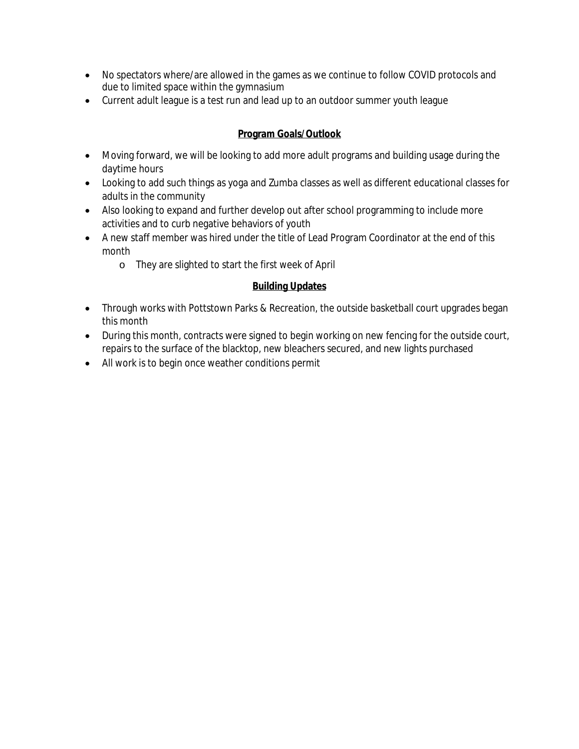- No spectators where/are allowed in the games as we continue to follow COVID protocols and due to limited space within the gymnasium
- Current adult league is a test run and lead up to an outdoor summer youth league

#### **Program Goals/Outlook**

- Moving forward, we will be looking to add more adult programs and building usage during the daytime hours
- Looking to add such things as yoga and Zumba classes as well as different educational classes for adults in the community
- Also looking to expand and further develop out after school programming to include more activities and to curb negative behaviors of youth
- A new staff member was hired under the title of Lead Program Coordinator at the end of this month
	- o They are slighted to start the first week of April

#### **Building Updates**

- Through works with Pottstown Parks & Recreation, the outside basketball court upgrades began this month
- During this month, contracts were signed to begin working on new fencing for the outside court, repairs to the surface of the blacktop, new bleachers secured, and new lights purchased
- All work is to begin once weather conditions permit